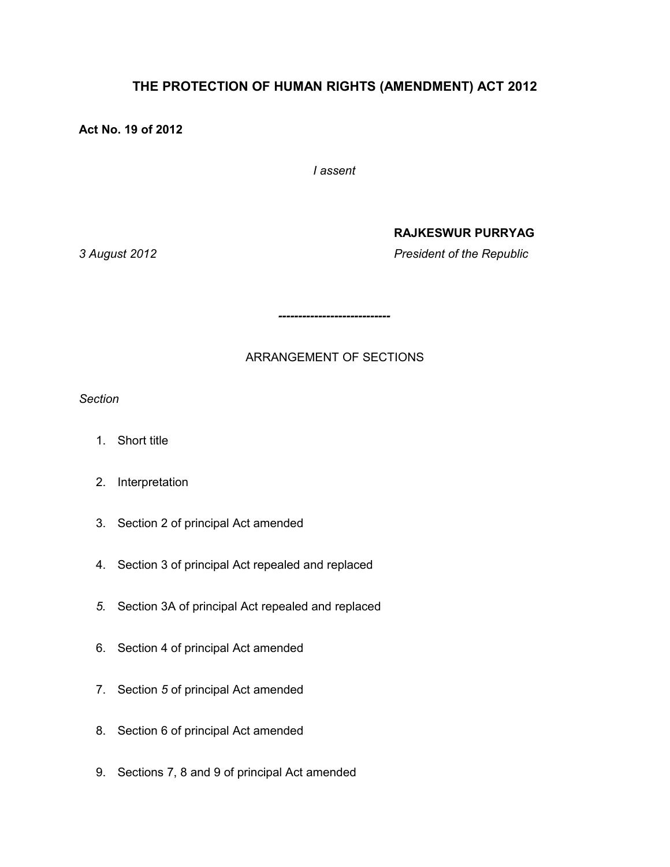# **THE PROTECTION OF HUMAN RIGHTS (AMENDMENT) ACT 2012**

## **Act No. 19 of 2012**

*I assent*

#### **RAJKESWUR PURRYAG**

*3 August 2012 President of the Republic*

ARRANGEMENT OF SECTIONS

*----------------------------*

*Section*

- 1. Short title
- 2. Interpretation
- 3. Section 2 of principal Act amended
- 4. Section 3 of principal Act repealed and replaced
- *5.* Section 3A of principal Act repealed and replaced
- 6. Section 4 of principal Act amended
- 7. Section *5* of principal Act amended
- 8. Section 6 of principal Act amended
- 9. Sections 7, 8 and 9 of principal Act amended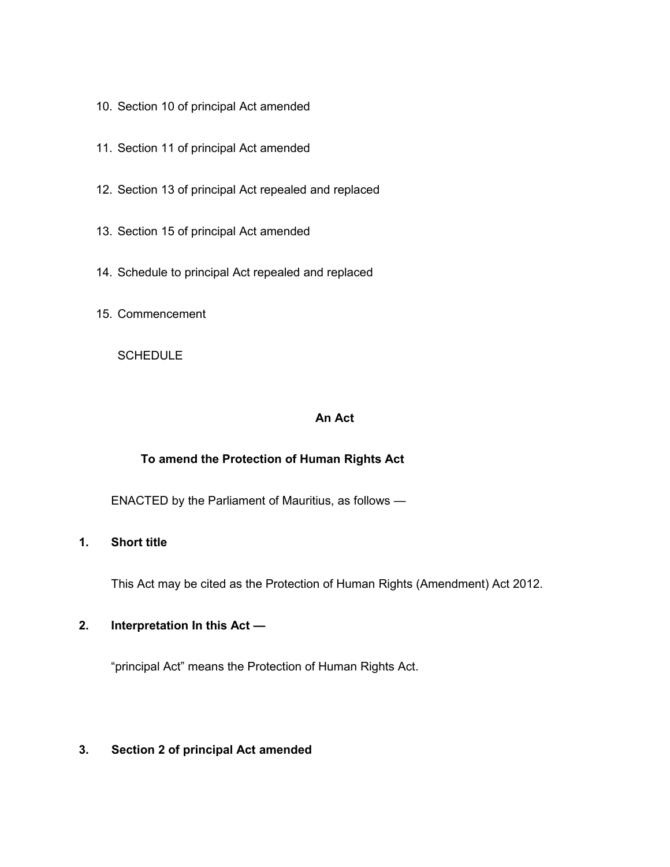- 10. Section 10 of principal Act amended
- 11. Section 11 of principal Act amended
- 12. Section 13 of principal Act repealed and replaced
- 13. Section 15 of principal Act amended
- 14. Schedule to principal Act repealed and replaced
- 15. Commencement

**SCHEDULE** 

#### **An Act**

### **To amend the Protection of Human Rights Act**

ENACTED by the Parliament of Mauritius, as follows —

## **1. Short title**

This Act may be cited as the Protection of Human Rights (Amendment) Act 2012.

#### **2. Interpretation In this Act —**

"principal Act" means the Protection of Human Rights Act.

#### **3. Section 2 of principal Act amended**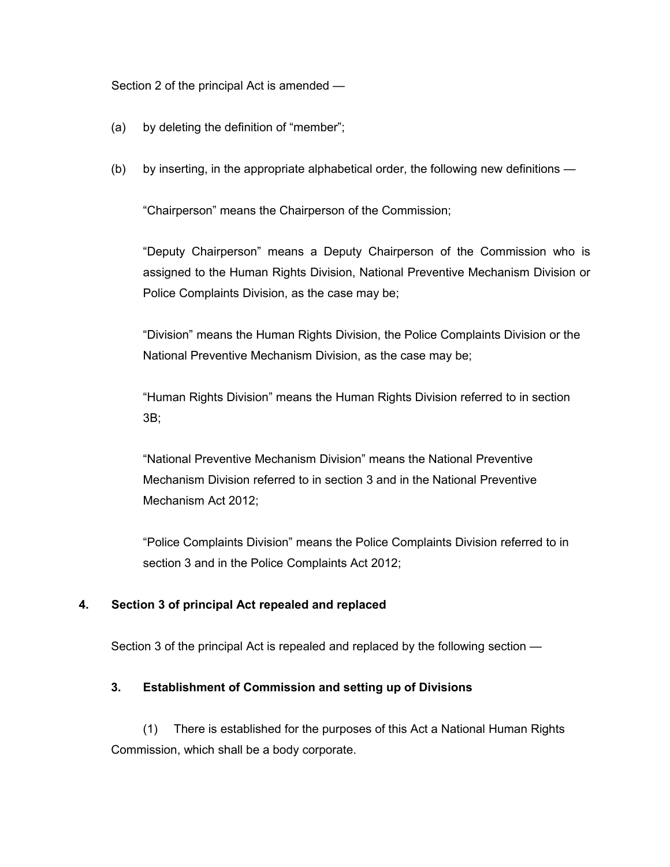#### Section 2 of the principal Act is amended —

- (a) by deleting the definition of "member";
- (b) by inserting, in the appropriate alphabetical order, the following new definitions —

"Chairperson" means the Chairperson of the Commission;

"Deputy Chairperson" means a Deputy Chairperson of the Commission who is assigned to the Human Rights Division, National Preventive Mechanism Division or Police Complaints Division, as the case may be;

"Division" means the Human Rights Division, the Police Complaints Division or the National Preventive Mechanism Division, as the case may be;

"Human Rights Division" means the Human Rights Division referred to in section 3B;

"National Preventive Mechanism Division" means the National Preventive Mechanism Division referred to in section 3 and in the National Preventive Mechanism Act 2012;

"Police Complaints Division" means the Police Complaints Division referred to in section 3 and in the Police Complaints Act 2012;

#### **4. Section 3 of principal Act repealed and replaced**

Section 3 of the principal Act is repealed and replaced by the following section —

#### **3. Establishment of Commission and setting up of Divisions**

(1) There is established for the purposes of this Act a National Human Rights Commission, which shall be a body corporate.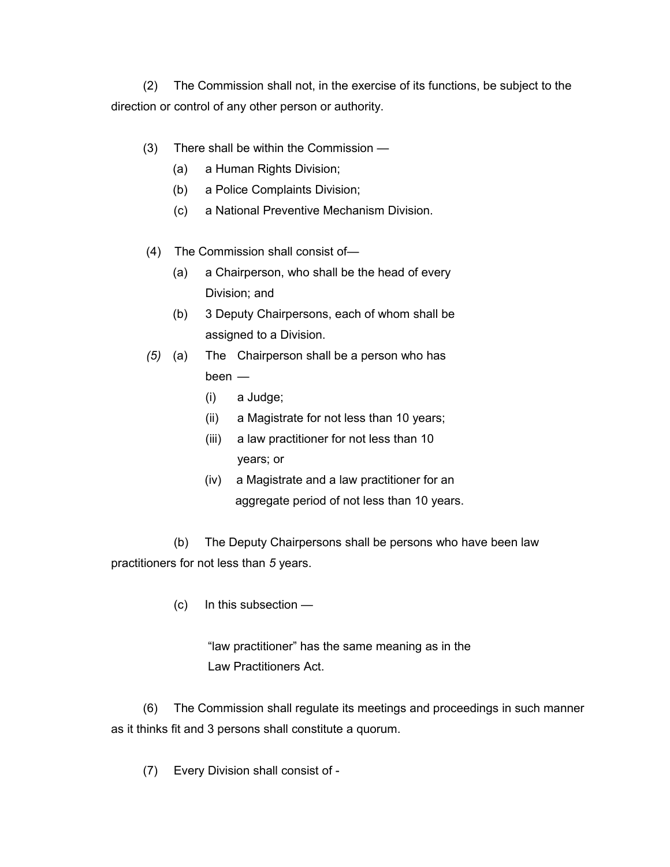(2) The Commission shall not, in the exercise of its functions, be subject to the direction or control of any other person or authority.

- (3) There shall be within the Commission
	- (a) a Human Rights Division;
	- (b) a Police Complaints Division;
	- (c) a National Preventive Mechanism Division.
- (4) The Commission shall consist of—
	- (a) a Chairperson, who shall be the head of every Division; and
	- (b) 3 Deputy Chairpersons, each of whom shall be assigned to a Division.
- *(5)* (a) The Chairperson shall be a person who has

been —

- (i) a Judge;
- (ii) a Magistrate for not less than 10 years;
- (iii) a law practitioner for not less than 10 years; or
- (iv) a Magistrate and a law practitioner for an aggregate period of not less than 10 years.

(b) The Deputy Chairpersons shall be persons who have been law practitioners for not less than *5* years.

(c) In this subsection —

 "law practitioner" has the same meaning as in the Law Practitioners Act.

(6) The Commission shall regulate its meetings and proceedings in such manner as it thinks fit and 3 persons shall constitute a quorum.

(7) Every Division shall consist of -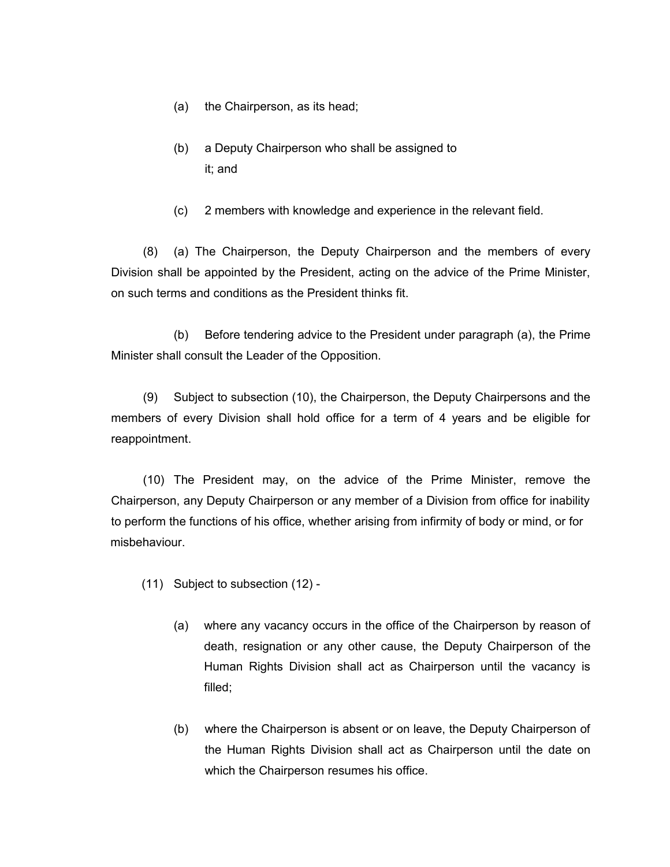- (a) the Chairperson, as its head;
- (b) a Deputy Chairperson who shall be assigned to it; and
- (c) 2 members with knowledge and experience in the relevant field.

(8) (a) The Chairperson, the Deputy Chairperson and the members of every Division shall be appointed by the President, acting on the advice of the Prime Minister, on such terms and conditions as the President thinks fit.

(b) Before tendering advice to the President under paragraph (a), the Prime Minister shall consult the Leader of the Opposition.

(9) Subject to subsection (10), the Chairperson, the Deputy Chairpersons and the members of every Division shall hold office for a term of 4 years and be eligible for reappointment.

(10) The President may, on the advice of the Prime Minister, remove the Chairperson, any Deputy Chairperson or any member of a Division from office for inability to perform the functions of his office, whether arising from infirmity of body or mind, or for misbehaviour.

- (11) Subject to subsection (12)
	- (a) where any vacancy occurs in the office of the Chairperson by reason of death, resignation or any other cause, the Deputy Chairperson of the Human Rights Division shall act as Chairperson until the vacancy is filled;
	- (b) where the Chairperson is absent or on leave, the Deputy Chairperson of the Human Rights Division shall act as Chairperson until the date on which the Chairperson resumes his office.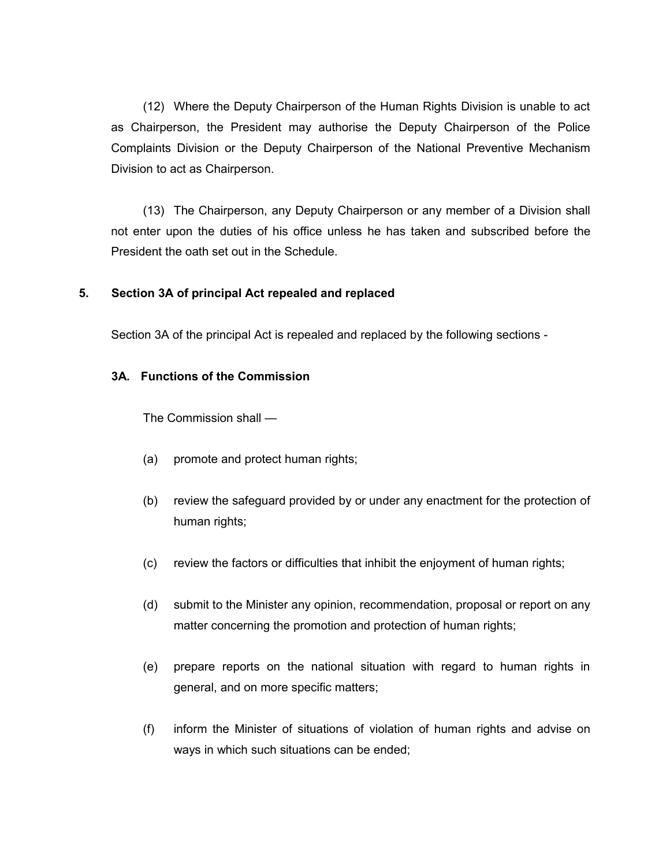(12) Where the Deputy Chairperson of the Human Rights Division is unable to act as Chairperson, the President may authorise the Deputy Chairperson of the Police Complaints Division or the Deputy Chairperson of the National Preventive Mechanism Division to act as Chairperson.

(13) The Chairperson, any Deputy Chairperson or any member of a Division shall not enter upon the duties of his office unless he has taken and subscribed before the President the oath set out in the Schedule.

#### **5. Section 3A of principal Act repealed and replaced**

Section 3A of the principal Act is repealed and replaced by the following sections -

#### **3A. Functions of the Commission**

The Commission shall —

- (a) promote and protect human rights;
- (b) review the safeguard provided by or under any enactment for the protection of human rights;
- (c) review the factors or difficulties that inhibit the enjoyment of human rights;
- (d) submit to the Minister any opinion, recommendation, proposal or report on any matter concerning the promotion and protection of human rights;
- (e) prepare reports on the national situation with regard to human rights in general, and on more specific matters;
- (f) inform the Minister of situations of violation of human rights and advise on ways in which such situations can be ended;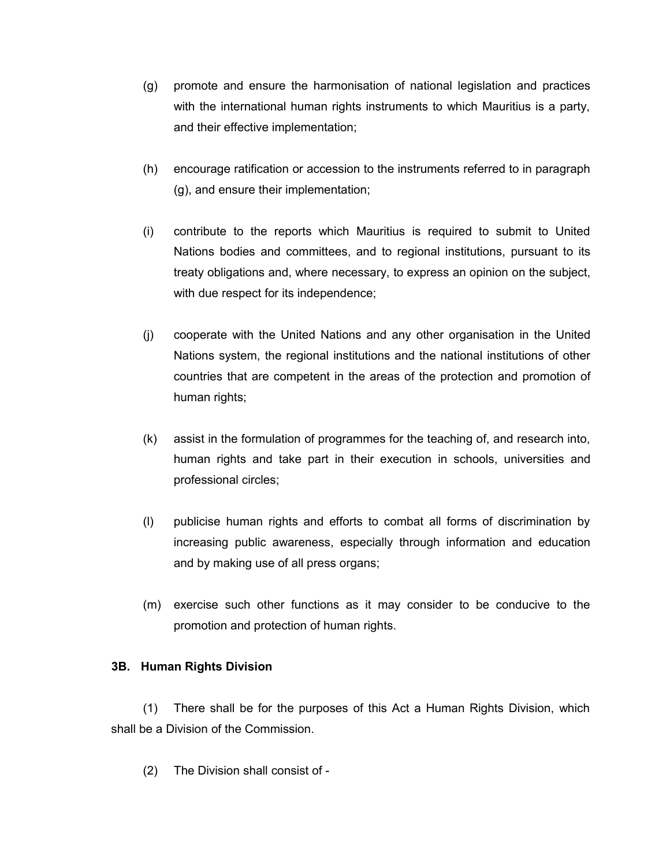- (g) promote and ensure the harmonisation of national legislation and practices with the international human rights instruments to which Mauritius is a party, and their effective implementation;
- (h) encourage ratification or accession to the instruments referred to in paragraph (g), and ensure their implementation;
- (i) contribute to the reports which Mauritius is required to submit to United Nations bodies and committees, and to regional institutions, pursuant to its treaty obligations and, where necessary, to express an opinion on the subject, with due respect for its independence;
- (j) cooperate with the United Nations and any other organisation in the United Nations system, the regional institutions and the national institutions of other countries that are competent in the areas of the protection and promotion of human rights;
- (k) assist in the formulation of programmes for the teaching of, and research into, human rights and take part in their execution in schools, universities and professional circles;
- (l) publicise human rights and efforts to combat all forms of discrimination by increasing public awareness, especially through information and education and by making use of all press organs;
- (m) exercise such other functions as it may consider to be conducive to the promotion and protection of human rights.

#### **3B. Human Rights Division**

(1) There shall be for the purposes of this Act a Human Rights Division, which shall be a Division of the Commission.

(2) The Division shall consist of -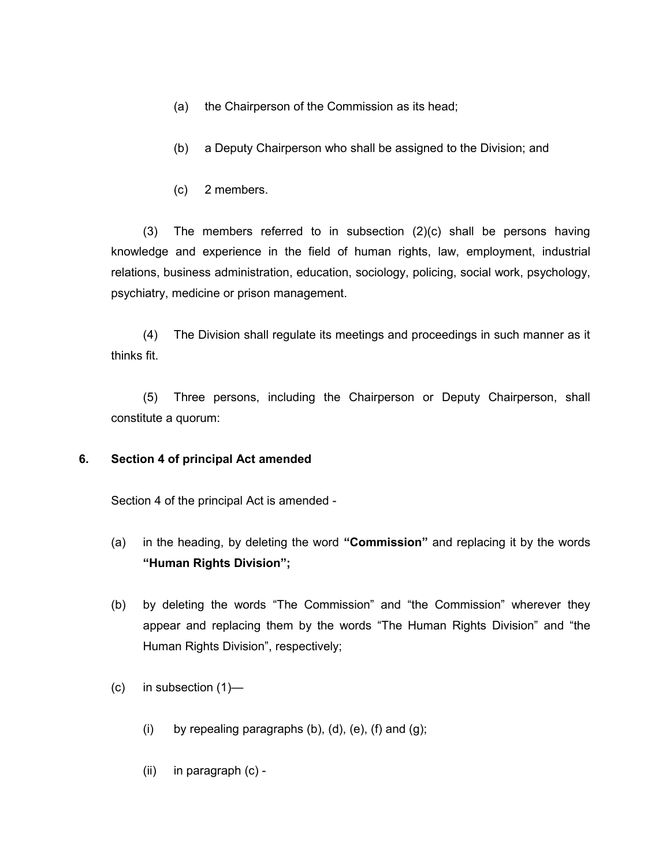- (a) the Chairperson of the Commission as its head;
- (b) a Deputy Chairperson who shall be assigned to the Division; and
- (c) 2 members.

(3) The members referred to in subsection (2)(c) shall be persons having knowledge and experience in the field of human rights, law, employment, industrial relations, business administration, education, sociology, policing, social work, psychology, psychiatry, medicine or prison management.

(4) The Division shall regulate its meetings and proceedings in such manner as it thinks fit.

(5) Three persons, including the Chairperson or Deputy Chairperson, shall constitute a quorum:

#### **6. Section 4 of principal Act amended**

Section 4 of the principal Act is amended -

- (a) in the heading, by deleting the word **"Commission"** and replacing it by the words **"Human Rights Division";**
- (b) by deleting the words "The Commission" and "the Commission" wherever they appear and replacing them by the words "The Human Rights Division" and "the Human Rights Division", respectively;
- (c) in subsection (1)—
	- (i) by repealing paragraphs  $(b)$ ,  $(d)$ ,  $(e)$ ,  $(f)$  and  $(g)$ ;
	- (ii) in paragraph (c) -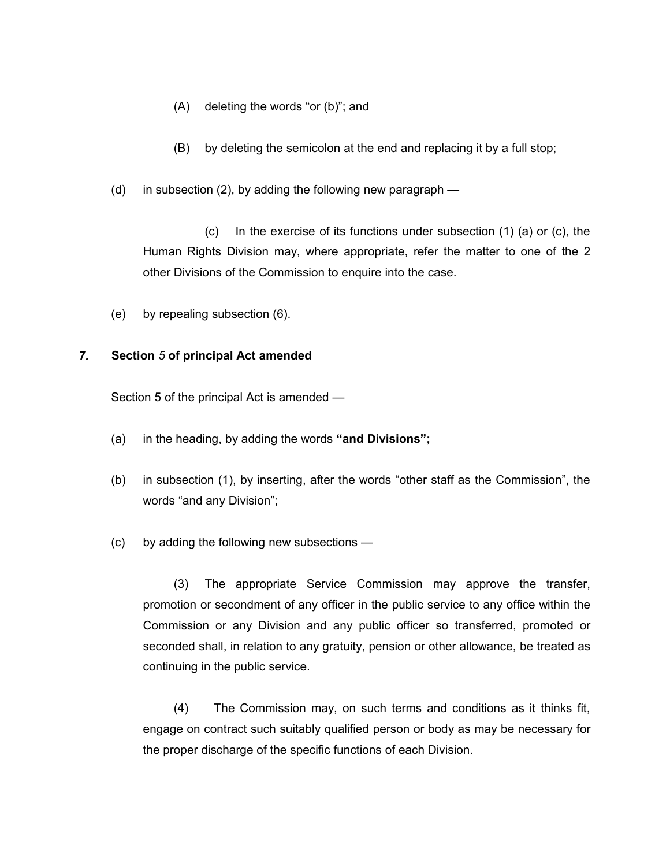- (A) deleting the words "or (b)"; and
- (B) by deleting the semicolon at the end and replacing it by a full stop;
- (d) in subsection (2), by adding the following new paragraph —

(c) In the exercise of its functions under subsection (1) (a) or (c), the Human Rights Division may, where appropriate, refer the matter to one of the 2 other Divisions of the Commission to enquire into the case.

(e) by repealing subsection (6).

#### *7.* **Section** *5* **of principal Act amended**

Section 5 of the principal Act is amended —

- (a) in the heading, by adding the words **"and Divisions";**
- (b) in subsection (1), by inserting, after the words "other staff as the Commission", the words "and any Division";
- (c) by adding the following new subsections —

(3) The appropriate Service Commission may approve the transfer, promotion or secondment of any officer in the public service to any office within the Commission or any Division and any public officer so transferred, promoted or seconded shall, in relation to any gratuity, pension or other allowance, be treated as continuing in the public service.

(4) The Commission may, on such terms and conditions as it thinks fit, engage on contract such suitably qualified person or body as may be necessary for the proper discharge of the specific functions of each Division.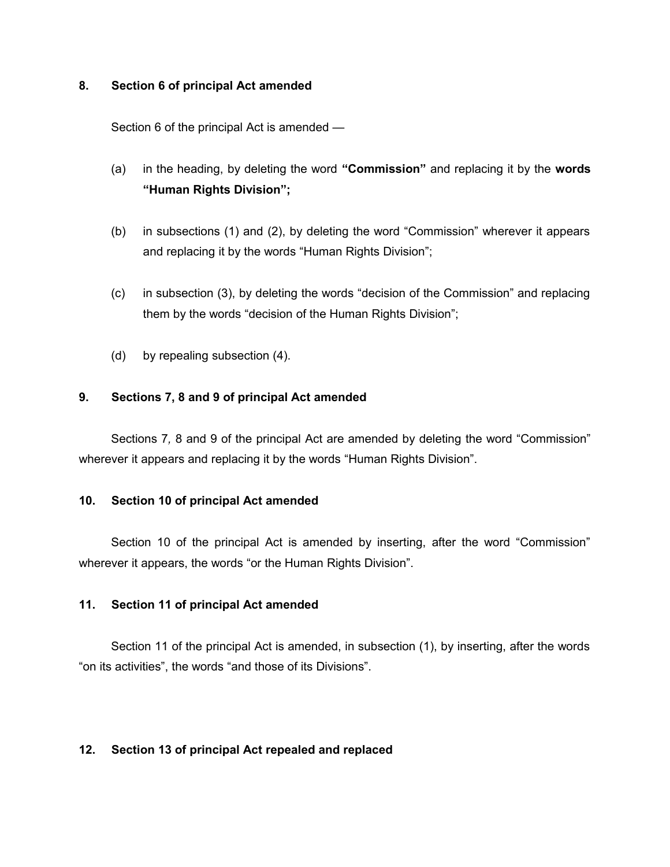#### **8. Section 6 of principal Act amended**

Section 6 of the principal Act is amended —

- (a) in the heading, by deleting the word **"Commission"** and replacing it by the **words "Human Rights Division";**
- (b) in subsections (1) and (2), by deleting the word "Commission" wherever it appears and replacing it by the words "Human Rights Division";
- (c) in subsection (3), by deleting the words "decision of the Commission" and replacing them by the words "decision of the Human Rights Division";
- (d) by repealing subsection (4).

## **9. Sections 7, 8 and 9 of principal Act amended**

Sections 7*,* 8 and 9 of the principal Act are amended by deleting the word "Commission" wherever it appears and replacing it by the words "Human Rights Division".

#### **10. Section 10 of principal Act amended**

Section 10 of the principal Act is amended by inserting, after the word "Commission" wherever it appears, the words "or the Human Rights Division".

#### **11. Section 11 of principal Act amended**

Section 11 of the principal Act is amended, in subsection (1), by inserting, after the words "on its activities", the words "and those of its Divisions".

#### **12. Section 13 of principal Act repealed and replaced**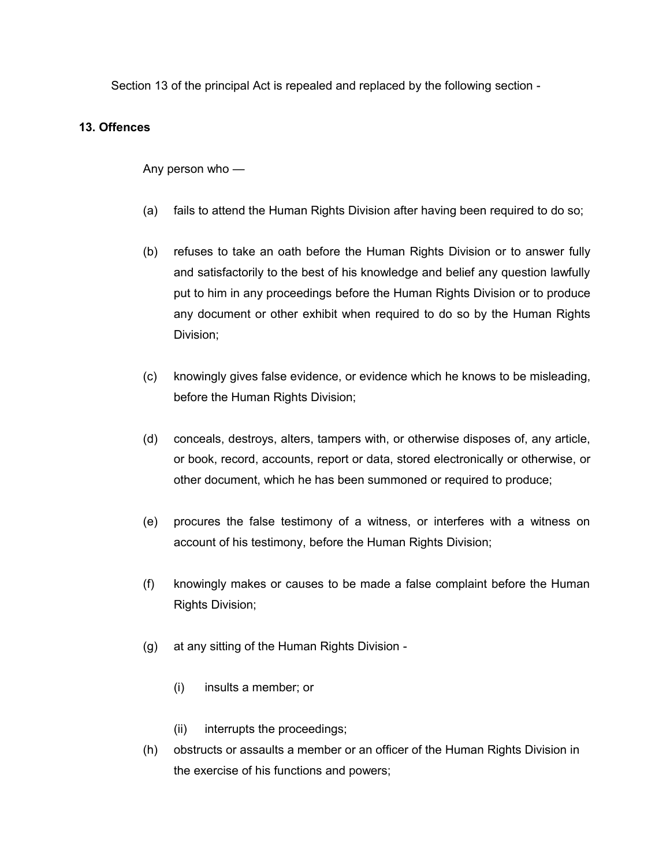Section 13 of the principal Act is repealed and replaced by the following section -

## **13. Offences**

Any person who —

- (a) fails to attend the Human Rights Division after having been required to do so;
- (b) refuses to take an oath before the Human Rights Division or to answer fully and satisfactorily to the best of his knowledge and belief any question lawfully put to him in any proceedings before the Human Rights Division or to produce any document or other exhibit when required to do so by the Human Rights Division;
- (c) knowingly gives false evidence, or evidence which he knows to be misleading, before the Human Rights Division;
- (d) conceals, destroys, alters, tampers with, or otherwise disposes of, any article, or book, record, accounts, report or data, stored electronically or otherwise, or other document, which he has been summoned or required to produce;
- (e) procures the false testimony of a witness, or interferes with a witness on account of his testimony, before the Human Rights Division;
- (f) knowingly makes or causes to be made a false complaint before the Human Rights Division;
- (g) at any sitting of the Human Rights Division
	- (i) insults a member; or
	- (ii) interrupts the proceedings;
- (h) obstructs or assaults a member or an officer of the Human Rights Division in the exercise of his functions and powers;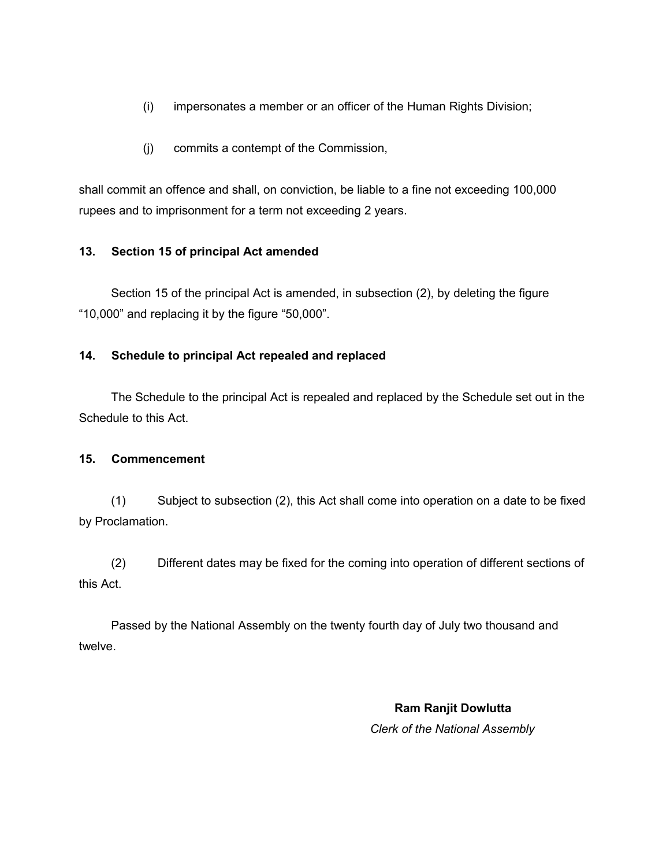- (i) impersonates a member or an officer of the Human Rights Division;
- (j) commits a contempt of the Commission,

shall commit an offence and shall, on conviction, be liable to a fine not exceeding 100,000 rupees and to imprisonment for a term not exceeding 2 years.

# **13. Section 15 of principal Act amended**

Section 15 of the principal Act is amended, in subsection (2), by deleting the figure "10,000" and replacing it by the figure "50,000".

# **14. Schedule to principal Act repealed and replaced**

The Schedule to the principal Act is repealed and replaced by the Schedule set out in the Schedule to this Act.

## **15. Commencement**

(1) Subject to subsection (2), this Act shall come into operation on a date to be fixed by Proclamation.

(2) Different dates may be fixed for the coming into operation of different sections of this Act.

Passed by the National Assembly on the twenty fourth day of July two thousand and twelve.

> **Ram Ranjit Dowlutta** *Clerk of the National Assembly*